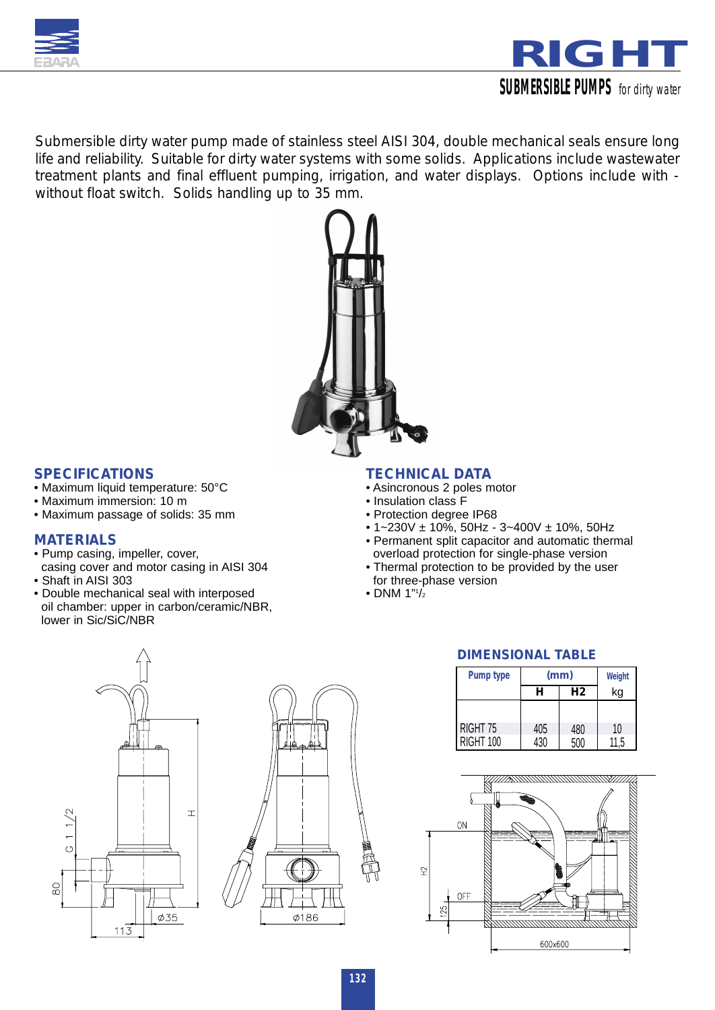



*Submersible dirty water pump made of stainless steel AISI 304, double mechanical seals ensure long life and reliability. Suitable for dirty water systems with some solids. Applications include wastewater treatment plants and final effluent pumping, irrigation, and water displays. Options include with without float switch. Solids handling up to 35 mm.*



### *SPECIFICATIONS*

- Maximum liquid temperature: 50°C
- Maximum immersion: 10 m
- Maximum passage of solids: 35 mm

## *MATERIALS*

- Pump casing, impeller, cover,
- casing cover and motor casing in AISI 304 • Shaft in AISI 303
- Double mechanical seal with interposed oil chamber: upper in carbon/ceramic/NBR, lower in Sic/SiC/NBR

### *TECHNICAL DATA*

- Asincronous 2 poles motor
- Insulation class F
- Protection degree IP68
- 1~230V ± 10%, 50Hz 3~400V ± 10%, 50Hz
- Permanent split capacitor and automatic thermal overload protection for single-phase version
- Thermal protection to be provided by the user for three-phase version
- $\bullet$  DNM 1" $1/2$





## *DIMENSIONAL TABLE*

| Pump type | (mm) | Weight         |      |
|-----------|------|----------------|------|
|           | н    | H <sub>2</sub> | kg   |
|           |      |                |      |
| RIGHT 75  | 405  | 480            | 10   |
| RIGHT 100 | 430  | 500            | 11,5 |